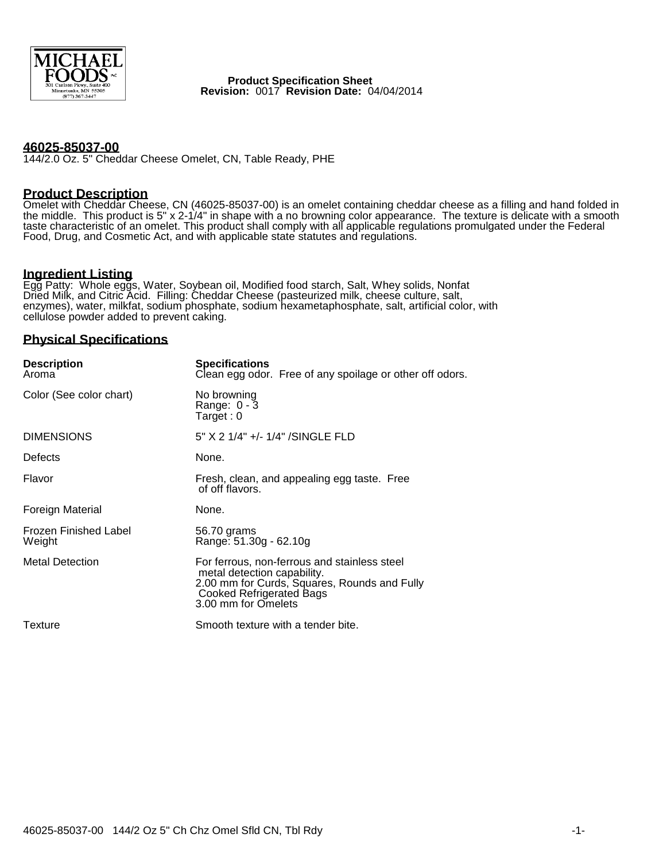

 **Product Specification Sheet Revision:** 0017 **Revision Date:** 04/04/2014

## **46025-85037-00**

144/2.0 Oz. 5" Cheddar Cheese Omelet, CN, Table Ready, PHE

#### **Product Description**

Omelet with Cheddar Cheese, CN (46025-85037-00) is an omelet containing cheddar cheese as a filling and hand folded in the middle. This product is 5" x 2-1/4" in shape with a no browning color appearance. The texture is delicate with a smooth taste characteristic of an omelet. This product shall comply with all applicable regulations promulgated under the Federal Food, Drug, and Cosmetic Act, and with applicable state statutes and regulations.

## **Ingredient Listing**

Egg Patty: Whole eggs, Water, Soybean oil, Modified food starch, Salt, Whey solids, Nonfat Dried Milk, and Citric Acid. Filling: Cheddar Cheese (pasteurized milk, cheese culture, salt, enzymes), water, milkfat, sodium phosphate, sodium hexametaphosphate, salt, artificial color, with cellulose powder added to prevent caking.

## **Physical Specifications**

| <b>Description</b><br>Aroma            | <b>Specifications</b><br>Clean egg odor. Free of any spoilage or other off odors.                                                                                                     |
|----------------------------------------|---------------------------------------------------------------------------------------------------------------------------------------------------------------------------------------|
| Color (See color chart)                | No browning<br>Range: $0 - 3$<br>Target:0                                                                                                                                             |
| <b>DIMENSIONS</b>                      | 5" X 2 1/4" +/- 1/4" /SINGLE FLD                                                                                                                                                      |
| Defects                                | None.                                                                                                                                                                                 |
| Flavor                                 | Fresh, clean, and appealing egg taste. Free<br>of off flavors.                                                                                                                        |
| Foreign Material                       | None.                                                                                                                                                                                 |
| <b>Frozen Finished Label</b><br>Weight | 56.70 grams<br>Range: 51.30g - 62.10g                                                                                                                                                 |
| <b>Metal Detection</b>                 | For ferrous, non-ferrous and stainless steel<br>metal detection capability.<br>2.00 mm for Curds, Squares, Rounds and Fully<br><b>Cooked Refrigerated Bags</b><br>3.00 mm for Omelets |
| Texture                                | Smooth texture with a tender bite.                                                                                                                                                    |
|                                        |                                                                                                                                                                                       |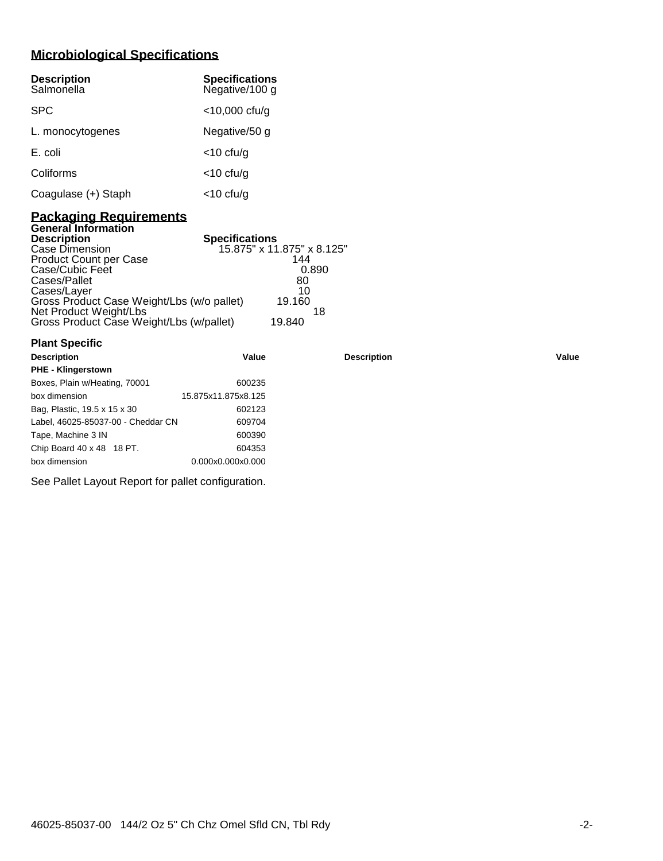# **Microbiological Specifications**

| <b>Description</b><br>Salmonella | <b>Specifications</b><br>Negative/100 g |
|----------------------------------|-----------------------------------------|
| <b>SPC</b>                       | $<$ 10,000 cfu/g                        |
| L. monocytogenes                 | Negative/50 g                           |
| E. coli                          | $<$ 10 cfu/g                            |
| Coliforms                        | $<$ 10 cfu/g                            |
| Coagulase (+) Staph              | <10 cfu/g                               |

## **Packaging Requirements General Information**

| <b>Description</b>                         | <b>Specifications</b>      |
|--------------------------------------------|----------------------------|
| Case Dimension                             | 15.875" x 11.875" x 8.125" |
| <b>Product Count per Case</b>              | 144                        |
| Case/Cubic Feet                            | 0.890                      |
| Cases/Pallet                               | 80                         |
| Cases/Layer                                | 10                         |
| Gross Product Case Weight/Lbs (w/o pallet) | 19.160                     |
| Net Product Weight/Lbs                     | 18                         |
| Gross Product Case Weight/Lbs (w/pallet)   | 19.840                     |

| <b>Plant Specific</b>              |                     |                    |       |
|------------------------------------|---------------------|--------------------|-------|
| <b>Description</b>                 | Value               | <b>Description</b> | Value |
| <b>PHE - Klingerstown</b>          |                     |                    |       |
| Boxes, Plain w/Heating, 70001      | 600235              |                    |       |
| box dimension                      | 15.875x11.875x8.125 |                    |       |
| Bag, Plastic, 19.5 x 15 x 30       | 602123              |                    |       |
| Label, 46025-85037-00 - Cheddar CN | 609704              |                    |       |
| Tape, Machine 3 IN                 | 600390              |                    |       |
| Chip Board 40 x 48 18 PT.          | 604353              |                    |       |
| box dimension                      | 0.000x0.000x0.000   |                    |       |

See Pallet Layout Report for pallet configuration.